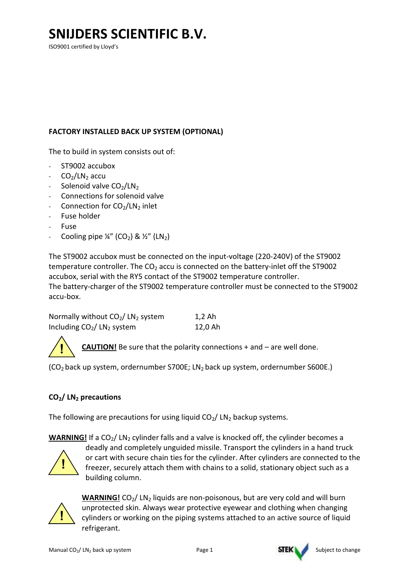ISO9001 certified by Lloyd's

#### FACTORY INSTALLED BACK UP SYSTEM (OPTIONAL)

The to build in system consists out of:

- ST9002 accubox
- $CO<sub>2</sub>/LN<sub>2</sub>$  accu
- Solenoid valve  $CO<sub>2</sub>/LN<sub>2</sub>$
- Connections for solenoid valve
- Connection for  $CO<sub>2</sub>/LN<sub>2</sub>$  inlet
- Fuse holder
- Fuse
- Cooling pipe ¼" (CO<sub>2</sub>) & ½" (LN<sub>2</sub>)

The ST9002 accubox must be connected on the input-voltage (220-240V) of the ST9002 temperature controller. The  $CO<sub>2</sub>$  accu is connected on the battery-inlet off the ST9002 accubox, serial with the RY5 contact of the ST9002 temperature controller. The battery-charger of the ST9002 temperature controller must be connected to the ST9002 accu-box.

| Normally without $CO2/~CN2$ system | 1,2 Ah  |
|------------------------------------|---------|
| Including $CO2/~CN2$ system        | 12,0 Ah |

CAUTION! Be sure that the polarity connections + and - are well done.

(CO<sub>2</sub> back up system, ordernumber S700E; LN<sub>2</sub> back up system, ordernumber S600E.)

#### CO<sub>2</sub>/ LN<sub>2</sub> precautions

The following are precautions for using liquid  $CO<sub>2</sub>/$  LN<sub>2</sub> backup systems.

**WARNING!** If a CO<sub>2</sub>/ LN<sub>2</sub> cylinder falls and a valve is knocked off, the cylinder becomes a



!

deadly and completely unguided missile. Transport the cylinders in a hand truck or cart with secure chain ties for the cylinder. After cylinders are connected to the freezer, securely attach them with chains to a solid, stationary object such as a building column.



**WARNING!** CO<sub>2</sub>/ LN<sub>2</sub> liquids are non-poisonous, but are very cold and will burn unprotected skin. Always wear protective eyewear and clothing when changing cylinders or working on the piping systems attached to an active source of liquid refrigerant.

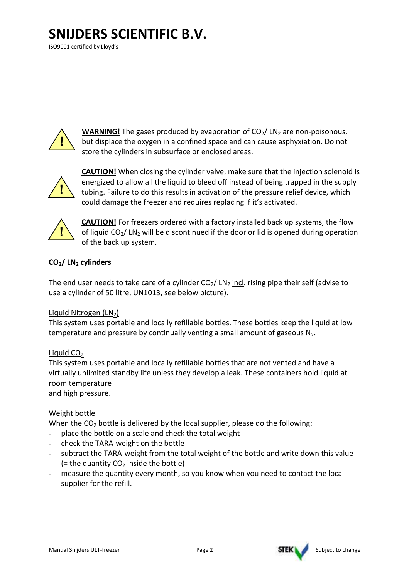ISO9001 certified by Lloyd's



**WARNING!** The gases produced by evaporation of  $CO<sub>2</sub>/ CN<sub>2</sub>$  are non-poisonous, but displace the oxygen in a confined space and can cause asphyxiation. Do not store the cylinders in subsurface or enclosed areas.



CAUTION! When closing the cylinder valve, make sure that the injection solenoid is energized to allow all the liquid to bleed off instead of being trapped in the supply tubing. Failure to do this results in activation of the pressure relief device, which could damage the freezer and requires replacing if it's activated.



CAUTION! For freezers ordered with a factory installed back up systems, the flow of liquid  $CO<sub>2</sub>/$  LN<sub>2</sub> will be discontinued if the door or lid is opened during operation of the back up system.

### $CO<sub>2</sub>/$  LN<sub>2</sub> cylinders

The end user needs to take care of a cylinder  $CO<sub>2</sub>/$  LN<sub>2</sub> incl. rising pipe their self (advise to use a cylinder of 50 litre, UN1013, see below picture).

#### Liquid Nitrogen  $(LN<sub>2</sub>)$

This system uses portable and locally refillable bottles. These bottles keep the liquid at low temperature and pressure by continually venting a small amount of gaseous  $N_2$ .

#### Liquid  $CO<sub>2</sub>$

This system uses portable and locally refillable bottles that are not vented and have a virtually unlimited standby life unless they develop a leak. These containers hold liquid at room temperature

and high pressure.

#### Weight bottle

When the  $CO<sub>2</sub>$  bottle is delivered by the local supplier, please do the following:

- place the bottle on a scale and check the total weight
- check the TARA-weight on the bottle
- subtract the TARA-weight from the total weight of the bottle and write down this value  $($  = the quantity CO<sub>2</sub> inside the bottle)
- measure the quantity every month, so you know when you need to contact the local supplier for the refill.



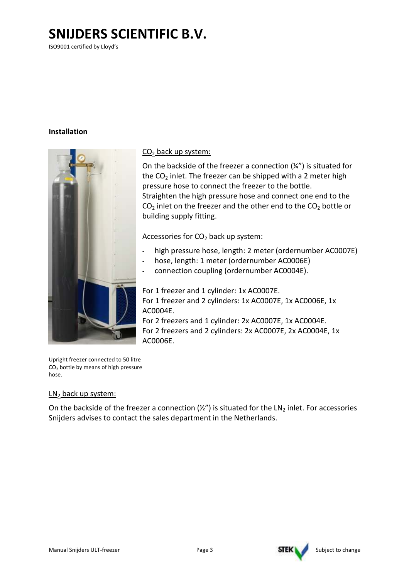ISO9001 certified by Lloyd's

#### Installation



#### CO<sub>2</sub> back up system:

On the backside of the freezer a connection  $(\frac{1}{4})$  is situated for the CO <sup>2</sup> inlet. The freezer can be shipped with a 2 meter high pressure hose to connect the freezer to the bottle. Straighten the high pressure hose and connect one end to the  $CO<sub>2</sub>$  inlet on the freezer and the other end to the  $CO<sub>2</sub>$  bottle or building supply fitting.

Accessories for CO<sub>2</sub> back up system:

- high pressure hose, length: 2 meter (ordernumber AC0007E)
- high pressure hose, length: 2 meter (ordernum<br>hose, length: 1 meter (ordernumber AC0006E)
- connection coupling (ordernumber AC0004E).

For 1 freezer and 1 cylinder: 1x AC0007E. For 1 freezer and 2 cylinders: 1x AC0007E, 1x AC0006E, 1x AC0004E.

For 2 freezers and 1 cylinder: 2x AC0007E, 1x AC0004E. For 2 freezers and 2 cylinders: 2x AC0007E, 2x AC0004E, 1x AC0006E.

Upright freezer connected to 50 litre  $CO<sub>2</sub>$  bottle by means of high pressure hose.

#### $LN<sub>2</sub>$  back up system:

On the backside of the freezer a connection  $(\frac{1}{2})$  is situated for the LN<sub>2</sub> inlet. For accessories Snijders advises to contact the sales department in the Netherlands.

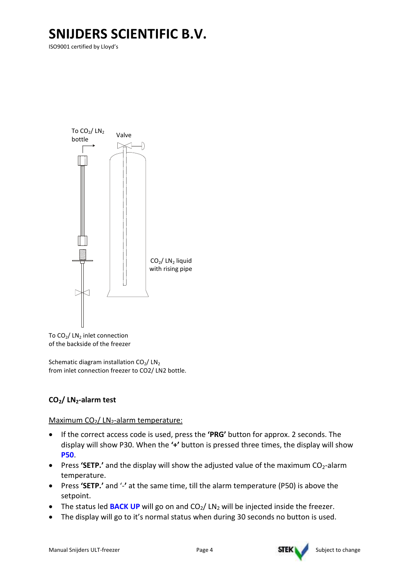ISO9001 certified by Lloyd's



To CO<sub>2</sub>/ LN<sub>2</sub> inlet connection of the backside of the freezer

Schematic diagram installation  $CO<sub>2</sub>/~CN<sub>2</sub>$ from inlet connection freezer to CO2/ LN2 bottle.

### $CO<sub>2</sub>/$  LN<sub>2</sub>-alarm test

#### Maximum  $CO<sub>2</sub>/$  LN<sub>2</sub>-alarm temperature:

- If the correct access code is used, press the 'PRG' button for approx. 2 seconds. The display will show P30. When the '+' button is pressed three times, the display will show P50.
- Press 'SETP.' and the display will show the adjusted value of the maximum  $CO<sub>2</sub>$ -alarm temperature.
- Press 'SETP.' and '-' at the same time, till the alarm temperature (P50) is above the setpoint.
- The status led **BACK UP** will go on and  $CO<sub>2</sub>/ CN<sub>2</sub>$  will be injected inside the freezer.
- The display will go to it's normal status when during 30 seconds no button is used.

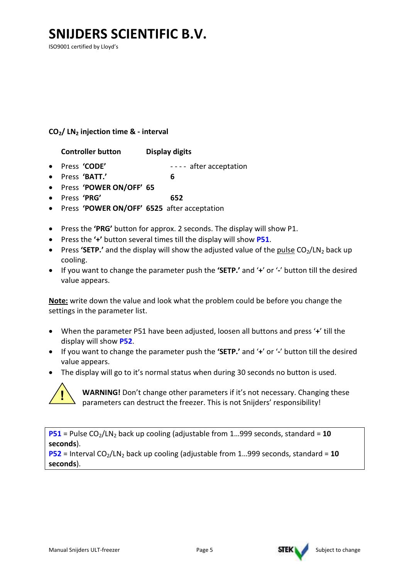ISO9001 certified by Lloyd's

#### $CO<sub>2</sub>/$  LN<sub>2</sub> injection time & - interval

Controller button Display digits

- Press 'CODE'  $---$  after acceptation
- Press 'BATT.' 6
- Press 'POWER ON/OFF' 65
- Press 'PRG' 652
- Press 'POWER ON/OFF' 6525 after acceptation
- Press the 'PRG' button for approx. 2 seconds. The display will show P1.
- Press the '+' button several times till the display will show P51.
- Press 'SETP.' and the display will show the adjusted value of the pulse  $CO<sub>2</sub>/CN<sub>2</sub>$  back up cooling.
- If you want to change the parameter push the 'SETP.' and '+' or '-' button till the desired value appears.

Note: write down the value and look what the problem could be before you change the settings in the parameter list.

- When the parameter P51 have been adjusted, loosen all buttons and press '+' till the display will show P52.
- If you want to change the parameter push the 'SETP.' and '+' or '-' button till the desired value appears.
- The display will go to it's normal status when during 30 seconds no button is used.



WARNING! Don't change other parameters if it's not necessary. Changing these parameters can destruct the freezer. This is not Snijders' responsibility!

**P51** = Pulse  $CO<sub>2</sub>/LN<sub>2</sub>$  back up cooling (adjustable from 1...999 seconds, standard = 10 seconds).

 $P52$  = Interval CO<sub>2</sub>/LN<sub>2</sub> back up cooling (adjustable from 1...999 seconds, standard = 10 seconds).